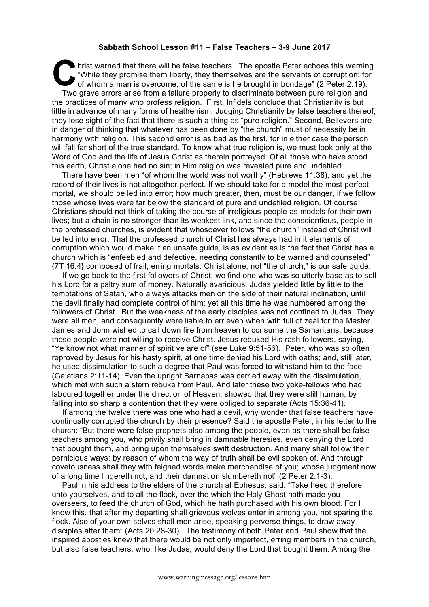## **Sabbath School Lesson #11 – False Teachers – 3-9 June 2017**

hrist warned that there will be false teachers. The apostle Peter echoes this warning. "While they promise them liberty, they themselves are the servants of corruption: for I hrist warned that there will be false teachers. The apostle Peter echoes this warning "While they promise them liberty, they themselves are the servants of corruption: for whom a man is overcome, of the same is he brough Two grave errors arise from a failure properly to discriminate between pure religion and the practices of many who profess religion. First, Infidels conclude that Christianity is but little in advance of many forms of heathenism. Judging Christianity by false teachers thereof, they lose sight of the fact that there is such a thing as "pure religion." Second, Believers are in danger of thinking that whatever has been done by "the church" must of necessity be in harmony with religion. This second error is as bad as the first, for in either case the person will fall far short of the true standard. To know what true religion is, we must look only at the Word of God and the life of Jesus Christ as therein portrayed. Of all those who have stood this earth, Christ alone had no sin; in Him religion was revealed pure and undefiled.

There have been men "of whom the world was not worthy" (Hebrews 11:38), and yet the record of their lives is not altogether perfect. If we should take for a model the most perfect mortal, we should be led into error; how much greater, then, must be our danger, if we follow those whose lives were far below the standard of pure and undefiled religion. Of course Christians should not think of taking the course of irreligious people as models for their own lives; but a chain is no stronger than its weakest link, and since the conscientious, people in the professed churches, is evident that whosoever follows "the church" instead of Christ will be led into error. That the professed church of Christ has always had in it elements of corruption which would make it an unsafe guide, is as evident as is the fact that Christ has a church which is "enfeebled and defective, needing constantly to be warned and counseled" {7T 16.4} composed of frail, erring mortals. Christ alone, not "the church," is our safe guide.

If we go back to the first followers of Christ, we find one who was so utterly base as to sell his Lord for a paltry sum of money. Naturally avaricious, Judas yielded little by little to the temptations of Satan, who always attacks men on the side of their natural inclination, until the devil finally had complete control of him; yet all this time he was numbered among the followers of Christ. But the weakness of the early disciples was not confined to Judas. They were all men, and consequently were liable to err even when with full of zeal for the Master. James and John wished to call down fire from heaven to consume the Samaritans, because these people were not willing to receive Christ. Jesus rebuked His rash followers, saying, "Ye know not what manner of spirit ye are of" (see Luke 9:51-56). Peter, who was so often reproved by Jesus for his hasty spirit, at one time denied his Lord with oaths; and, still later, he used dissimulation to such a degree that Paul was forced to withstand him to the face (Galatians 2:11-14). Even the upright Barnabas was carried away with the dissimulation, which met with such a stern rebuke from Paul. And later these two yoke-fellows who had laboured together under the direction of Heaven, showed that they were still human, by falling into so sharp a contention that they were obliged to separate (Acts 15:36-41).

If among the twelve there was one who had a devil, why wonder that false teachers have continually corrupted the church by their presence? Said the apostle Peter, in his letter to the church: "But there were false prophets also among the people, even as there shall be false teachers among you, who privily shall bring in damnable heresies, even denying the Lord that bought them, and bring upon themselves swift destruction. And many shall follow their pernicious ways; by reason of whom the way of truth shall be evil spoken of. And through covetousness shall they with feigned words make merchandise of you; whose judgment now of a long time lingereth not, and their damnation slumbereth not" (2 Peter 2:1-3).

Paul in his address to the elders of the church at Ephesus, said: "Take heed therefore unto yourselves, and to all the flock, over the which the Holy Ghost hath made you overseers, to feed the church of God, which he hath purchased with his own blood. For I know this, that after my departing shall grievous wolves enter in among you, not sparing the flock. Also of your own selves shall men arise, speaking perverse things, to draw away disciples after them" (Acts 20:28-30). The testimony of both Peter and Paul show that the inspired apostles knew that there would be not only imperfect, erring members in the church, but also false teachers, who, like Judas, would deny the Lord that bought them. Among the